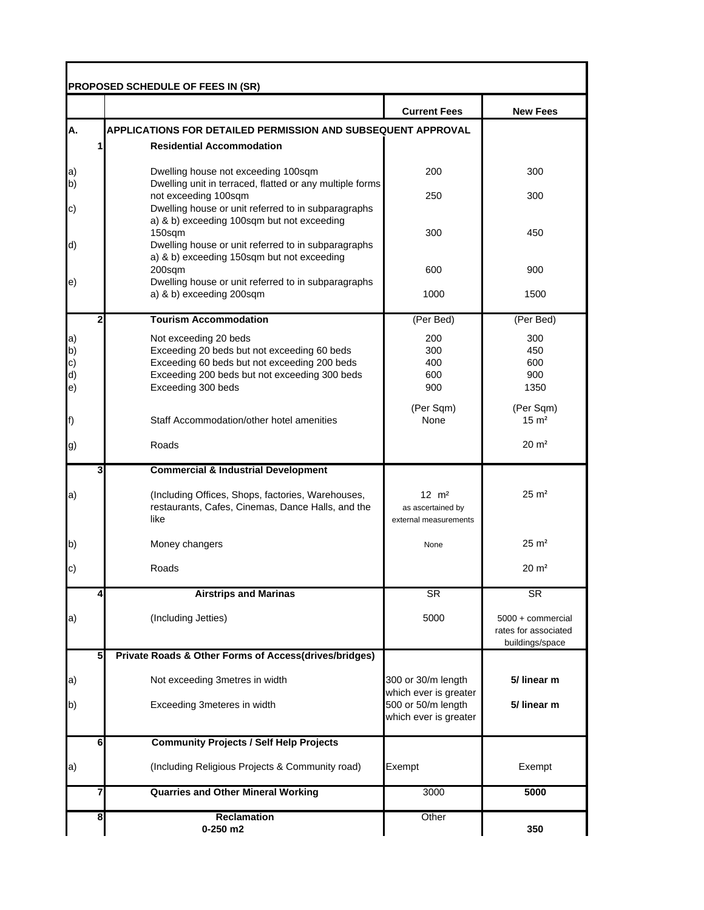| PROPOSED SCHEDULE OF FEES IN (SR) |                                                                                                   |                                             |                                         |  |  |  |
|-----------------------------------|---------------------------------------------------------------------------------------------------|---------------------------------------------|-----------------------------------------|--|--|--|
|                                   |                                                                                                   | <b>Current Fees</b>                         | <b>New Fees</b>                         |  |  |  |
| A.                                | <b>APPLICATIONS FOR DETAILED PERMISSION AND SUBSEQUENT APPROVAL</b>                               |                                             |                                         |  |  |  |
|                                   | <b>Residential Accommodation</b>                                                                  |                                             |                                         |  |  |  |
| $ a\rangle$                       | Dwelling house not exceeding 100sqm                                                               | 200                                         | 300                                     |  |  |  |
| $\mathsf{b}$                      | Dwelling unit in terraced, flatted or any multiple forms<br>not exceeding 100sqm                  | 250                                         | 300                                     |  |  |  |
| $\vert c)$                        | Dwelling house or unit referred to in subparagraphs<br>a) & b) exceeding 100sqm but not exceeding |                                             |                                         |  |  |  |
|                                   | 150sqm                                                                                            | 300                                         | 450                                     |  |  |  |
| d)                                | Dwelling house or unit referred to in subparagraphs<br>a) & b) exceeding 150sqm but not exceeding |                                             |                                         |  |  |  |
|                                   | 200sqm                                                                                            | 600                                         | 900                                     |  |  |  |
| $\ket{e}$                         | Dwelling house or unit referred to in subparagraphs<br>a) & b) exceeding 200sqm                   | 1000                                        | 1500                                    |  |  |  |
|                                   | <b>Tourism Accommodation</b><br>2                                                                 | (Per Bed)                                   | (Per Bed)                               |  |  |  |
|                                   | Not exceeding 20 beds                                                                             | 200                                         | 300                                     |  |  |  |
| $\mathsf{a}$<br>b)                | Exceeding 20 beds but not exceeding 60 beds                                                       | 300                                         | 450                                     |  |  |  |
| c)                                | Exceeding 60 beds but not exceeding 200 beds                                                      | 400                                         | 600                                     |  |  |  |
| d)                                | Exceeding 200 beds but not exceeding 300 beds                                                     | 600                                         | 900                                     |  |  |  |
| $\ket{e}$                         | Exceeding 300 beds                                                                                | 900                                         | 1350                                    |  |  |  |
|                                   | Staff Accommodation/other hotel amenities                                                         | (Per Sqm)<br>None                           | (Per Sqm)<br>$15 \text{ m}^2$           |  |  |  |
| f)                                |                                                                                                   |                                             |                                         |  |  |  |
| g)                                | Roads                                                                                             |                                             | $20 \text{ m}^2$                        |  |  |  |
|                                   | <b>Commercial &amp; Industrial Development</b><br>3                                               |                                             |                                         |  |  |  |
| a)                                | (Including Offices, Shops, factories, Warehouses,                                                 | $12 \, m^2$                                 | $25 \text{ m}^2$                        |  |  |  |
|                                   | restaurants, Cafes, Cinemas, Dance Halls, and the                                                 | as ascertained by                           |                                         |  |  |  |
|                                   | like                                                                                              | external measurements                       |                                         |  |  |  |
| b)                                | Money changers                                                                                    | None                                        | $25 \text{ m}^2$                        |  |  |  |
| $\vert c)$                        | Roads                                                                                             |                                             | $20 \text{ m}^2$                        |  |  |  |
|                                   | <b>Airstrips and Marinas</b><br>4                                                                 | <b>SR</b>                                   | <b>SR</b>                               |  |  |  |
|                                   |                                                                                                   |                                             |                                         |  |  |  |
| a)                                | (Including Jetties)                                                                               | 5000                                        | 5000 + commercial                       |  |  |  |
|                                   |                                                                                                   |                                             | rates for associated<br>buildings/space |  |  |  |
|                                   | 5<br>Private Roads & Other Forms of Access(drives/bridges)                                        |                                             |                                         |  |  |  |
| $\mathsf{a}$                      | Not exceeding 3metres in width                                                                    | 300 or 30/m length                          | 5/ linear m                             |  |  |  |
| b)                                | Exceeding 3meteres in width                                                                       | which ever is greater<br>500 or 50/m length | 5/ linear m                             |  |  |  |
|                                   |                                                                                                   | which ever is greater                       |                                         |  |  |  |
|                                   | $6\phantom{1}$<br><b>Community Projects / Self Help Projects</b>                                  |                                             |                                         |  |  |  |
| a)                                | (Including Religious Projects & Community road)                                                   | Exempt                                      | Exempt                                  |  |  |  |
|                                   | <b>Quarries and Other Mineral Working</b><br>7                                                    | 3000                                        | 5000                                    |  |  |  |
|                                   |                                                                                                   |                                             |                                         |  |  |  |
|                                   | Reclamation<br>8<br>$0-250$ m2                                                                    | Other                                       | 350                                     |  |  |  |
|                                   |                                                                                                   |                                             |                                         |  |  |  |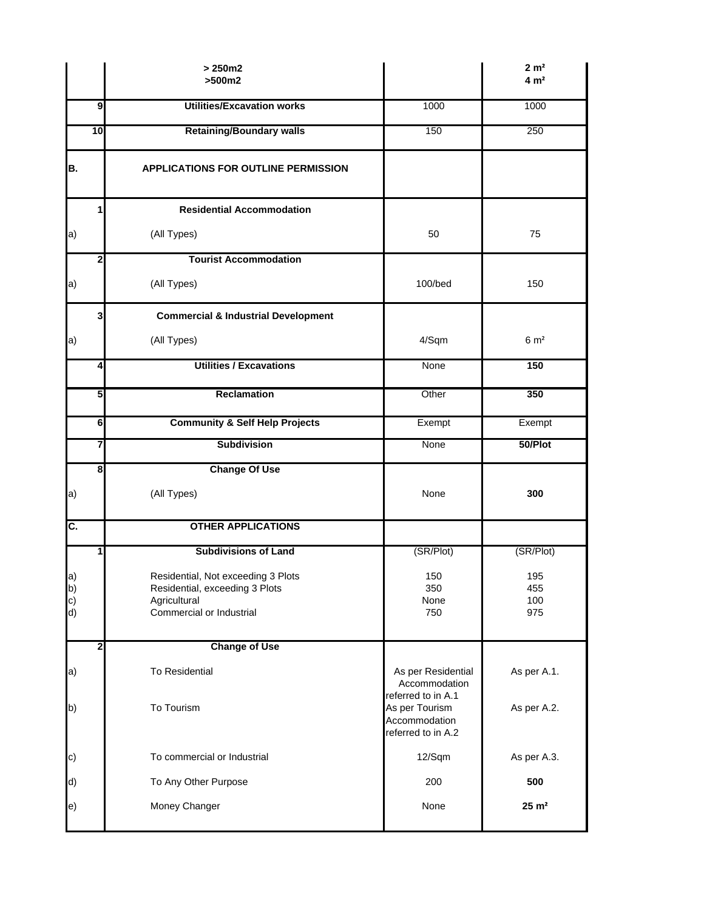|                | $>250m2$<br>$>500m2$                           |                                                           | 2 m <sup>2</sup><br>4 m <sup>2</sup> |
|----------------|------------------------------------------------|-----------------------------------------------------------|--------------------------------------|
| 9              | <b>Utilities/Excavation works</b>              | 1000                                                      | 1000                                 |
| 10             | <b>Retaining/Boundary walls</b>                | 150                                                       | 250                                  |
| В.             | <b>APPLICATIONS FOR OUTLINE PERMISSION</b>     |                                                           |                                      |
| 1              | <b>Residential Accommodation</b>               |                                                           |                                      |
| a)             | (All Types)                                    | 50                                                        | 75                                   |
| 2              | <b>Tourist Accommodation</b>                   |                                                           |                                      |
| a)             | (All Types)                                    | 100/bed                                                   | 150                                  |
| 3              | <b>Commercial &amp; Industrial Development</b> |                                                           |                                      |
| a)             | (All Types)                                    | 4/Sqm                                                     | 6 m <sup>2</sup>                     |
| 4              | <b>Utilities / Excavations</b>                 | None                                                      | 150                                  |
| 5              | <b>Reclamation</b>                             | Other                                                     | 350                                  |
| 6              | <b>Community &amp; Self Help Projects</b>      | Exempt                                                    | Exempt                               |
| 7              | <b>Subdivision</b>                             | None                                                      | 50/Plot                              |
| 8              | <b>Change Of Use</b>                           |                                                           |                                      |
| a)             | (All Types)                                    | None                                                      | 300                                  |
| C.             | <b>OTHER APPLICATIONS</b>                      |                                                           |                                      |
| 1              | <b>Subdivisions of Land</b>                    | (SR/Plot)                                                 | (SR/Plot)                            |
| a)             | Residential, Not exceeding 3 Plots             | 150                                                       | 195                                  |
|                | Residential, exceeding 3 Plots<br>Agricultural | 350<br>None                                               | 455<br>100                           |
| b)<br>c)<br>d) | Commercial or Industrial                       | 750                                                       | 975                                  |
| $\mathbf{2}$   | <b>Change of Use</b>                           |                                                           |                                      |
| a)             | To Residential                                 | As per Residential<br>Accommodation<br>referred to in A.1 | As per A.1.                          |
| b)             | To Tourism                                     | As per Tourism<br>Accommodation<br>referred to in A.2     | As per A.2.                          |
| c)             | To commercial or Industrial                    | 12/Sqm                                                    | As per A.3.                          |
| d)             | To Any Other Purpose                           | 200                                                       | 500                                  |
| e)             | Money Changer                                  | None                                                      | $25 \text{ m}^2$                     |